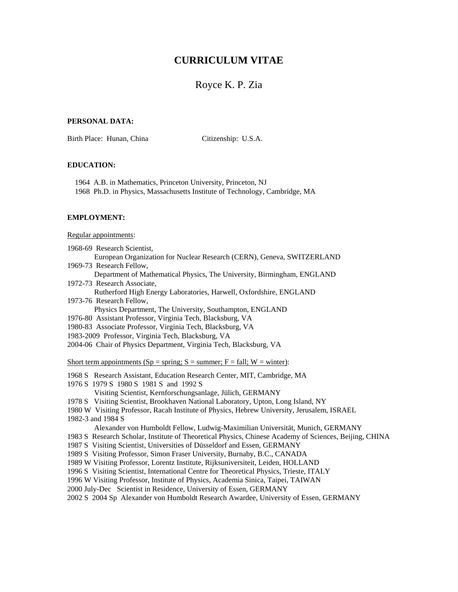# **CURRICULUM VITAE**

## Royce K. P. Zia

### **PERSONAL DATA:**

Birth Place: Hunan, China Citizenship: U.S.A.

### **EDUCATION:**

 1964 A.B. in Mathematics, Princeton University, Princeton, NJ 1968 Ph.D. in Physics, Massachusetts Institute of Technology, Cambridge, MA

### **EMPLOYMENT:**

#### Regular appointments:

- 1968-69 Research Scientist,
- European Organization for Nuclear Research (CERN), Geneva, SWITZERLAND 1969-73 Research Fellow,
- 
- Department of Mathematical Physics, The University, Birmingham, ENGLAND 1972-73 Research Associate,
- Rutherford High Energy Laboratories, Harwell, Oxfordshire, ENGLAND 1973-76 Research Fellow,
	- Physics Department, The University, Southampton, ENGLAND
- 1976-80 Assistant Professor, Virginia Tech, Blacksburg, VA
- 1980-83 Associate Professor, Virginia Tech, Blacksburg, VA
- 1983-2009 Professor, Virginia Tech, Blacksburg, VA
- 2004-06 Chair of Physics Department, Virginia Tech, Blacksburg, VA

Short term appointments (Sp = spring; S = summer; F = fall; W = winter):

- 1968 S Research Assistant, Education Research Center, MIT, Cambridge, MA
- 1976 S 1979 S 1980 S 1981 S and 1992 S
	- Visiting Scientist, Kernforschungsanlage, Jülich, GERMANY
- 1978 S Visiting Scientist, Brookhaven National Laboratory, Upton, Long Island, NY
- 1980 W Visiting Professor, Racah Institute of Physics, Hebrew University, Jerusalem, ISRAEL
- 1982-3 and 1984 S

Alexander von Humboldt Fellow, Ludwig-Maximilian Universität, Munich, GERMANY

- 1983 S Research Scholar, Institute of Theoretical Physics, Chinese Academy of Sciences, Beijing, CHINA
- 1987 S Visiting Scientist, Universities of Düsseldorf and Essen, GERMANY
- 1989 S Visiting Professor, Simon Fraser University, Burnaby, B.C., CANADA
- 1989 W Visiting Professor, Lorentz Institute, Rijksuniversiteit, Leiden, HOLLAND
- 1996 S Visiting Scientist, International Centre for Theoretical Physics, Trieste, ITALY
- 1996 W Visiting Professor, Institute of Physics, Academia Sinica, Taipei, TAIWAN
- 2000 July-Dec Scientist in Residence, University of Essen, GERMANY

2002 S 2004 Sp Alexander von Humboldt Research Awardee, University of Essen, GERMANY